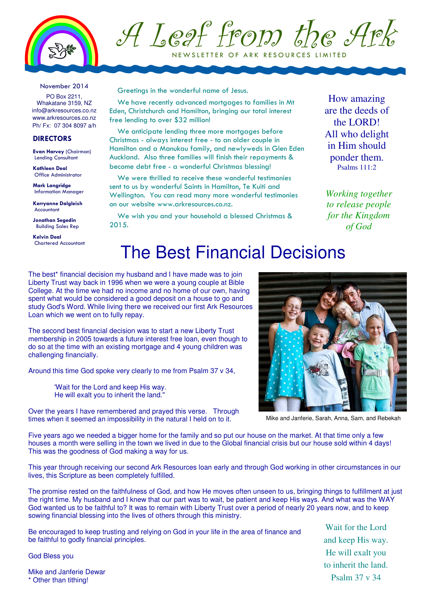

A Leaf from the Ark NEW SLETTER OF ARK RESOURCES LIMITED

#### November 2014

PO Box 2211, Whakatane 3159, NZ info@arkresources.co.nz www.arkresources.co.nz Ph/ Fx: 07 304 8097 a/h

### **DIRECTORS**

Evan Harvey (Chairman) Lending Consultant

Kathleen Deal Office Administrator

Mark Langridge Information Manager

Kerryanne Dalgleish Accountant

Jonathan Segedin Building Sales Rep

Kelvin Deal Chartered Accountant Greetings in the wonderful name of Jesus.

We have recently advanced mortgages to families in Mt Eden, Christchurch and Hamilton, bringing our total interest free lending to over \$32 million!

We anticipate lending three more mortgages before Christmas - always interest free - to an older couple in Hamilton and a Manukau family, and newlyweds in Glen Eden Auckland. Also three families will finish their repayments & become debt free - a wonderful Christmas blessing!

We were thrilled to receive these wonderful testimonies sent to us by wonderful Saints in Hamilton, Te Kuiti and Wellington. You can read many more wonderful testimonies on our website www.arkresources.co.nz.

We wish you and your household a blessed Christmas & 2015.

How amazing are the deeds of the LORD! All who delight in Him should ponder them. Psalms 111:2

*Working together to release people for the Kingdom of God*

### The Best Financial Decisions

The best<sup>\*</sup> financial decision my husband and I have made was to join Liberty Trust way back in 1996 when we were a young couple at Bible College. At the time we had no income and no home of our own, having spent what would be considered a good deposit on a house to go and study God's Word. While living there we received our first Ark Resources Loan which we went on to fully repay.

The second best financial decision was to start a new Liberty Trust membership in 2005 towards a future interest free loan, even though to do so at the time with an existing mortgage and 4 young children was challenging financially.

Around this time God spoke very clearly to me from Psalm 37 v 34,

'Wait for the Lord and keep His way. He will exalt you to inherit the land."

Over the years I have remembered and prayed this verse. Through times when it seemed an impossibility in the natural I held on to it.

Five years ago we needed a bigger home for the family and so put our house on the market. At that time only a few houses a month were selling in the town we lived in due to the Global financial crisis but our house sold within 4 days! This was the goodness of God making a way for us.

This year through receiving our second Ark Resources loan early and through God working in other circumstances in our lives, this Scripture as been completely fulfilled.

The promise rested on the faithfulness of God, and how He moves often unseen to us, bringing things to fulfillment at just the right time. My husband and I knew that our part was to wait, be patient and keep His ways. And what was the WAY God wanted us to be faithful to? It was to remain with Liberty Trust over a period of nearly 20 years now, and to keep sowing financial blessing into the lives of others through this ministry.

Be encouraged to keep trusting and relying on God in your life in the area of finance and be faithful to godly financial principles.

God Bless you

Mike and Janferie Dewar \* Other than tithing!



Mike and Janferie, Sarah, Anna, Sam, and Rebekah

Wait for the Lord and keep His way. He will exalt you to inherit the land. Psalm 37 v 34